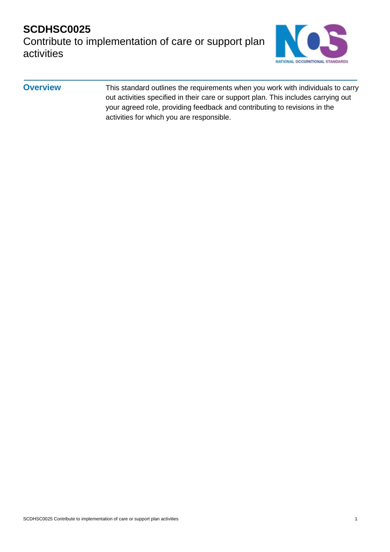#### **SCDHSC0025**  Contribute to implementation of care or support plan activities



**Overview** This standard outlines the requirements when you work with individuals to carry out activities specified in their care or support plan. This includes carrying out your agreed role, providing feedback and contributing to revisions in the activities for which you are responsible.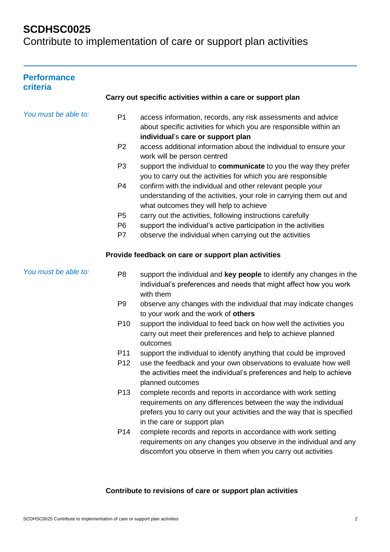Contribute to implementation of care or support plan activities

| <b>Performance</b><br>criteria |                 |                                                                                                                                                                                                                                         |
|--------------------------------|-----------------|-----------------------------------------------------------------------------------------------------------------------------------------------------------------------------------------------------------------------------------------|
|                                |                 | Carry out specific activities within a care or support plan                                                                                                                                                                             |
| You must be able to:           | P <sub>1</sub>  | access information, records, any risk assessments and advice<br>about specific activities for which you are responsible within an<br>individual's care or support plan                                                                  |
|                                | P <sub>2</sub>  | access additional information about the individual to ensure your<br>work will be person centred                                                                                                                                        |
|                                | P <sub>3</sub>  | support the individual to communicate to you the way they prefer<br>you to carry out the activities for which you are responsible                                                                                                       |
|                                | P <sub>4</sub>  | confirm with the individual and other relevant people your<br>understanding of the activities, your role in carrying them out and<br>what outcomes they will help to achieve                                                            |
|                                | P <sub>5</sub>  | carry out the activities, following instructions carefully                                                                                                                                                                              |
|                                | P <sub>6</sub>  | support the individual's active participation in the activities                                                                                                                                                                         |
|                                | P7              | observe the individual when carrying out the activities                                                                                                                                                                                 |
|                                |                 | Provide feedback on care or support plan activities                                                                                                                                                                                     |
| You must be able to:           | P <sub>8</sub>  | support the individual and key people to identify any changes in the<br>individual's preferences and needs that might affect how you work<br>with them                                                                                  |
|                                | P <sub>9</sub>  | observe any changes with the individual that may indicate changes<br>to your work and the work of others                                                                                                                                |
|                                | P <sub>10</sub> | support the individual to feed back on how well the activities you<br>carry out meet their preferences and help to achieve planned<br>outcomes                                                                                          |
|                                | P <sub>11</sub> | support the individual to identify anything that could be improved                                                                                                                                                                      |
|                                | P <sub>12</sub> | use the feedback and your own observations to evaluate how well<br>the activities meet the individual's preferences and help to achieve<br>planned outcomes                                                                             |
|                                | P <sub>13</sub> | complete records and reports in accordance with work setting<br>requirements on any differences between the way the individual<br>prefers you to carry out your activities and the way that is specified<br>in the care or support plan |
|                                | P <sub>14</sub> | complete records and reports in accordance with work setting<br>requirements on any changes you observe in the individual and any<br>discomfort you observe in them when you carry out activities                                       |

#### **Contribute to revisions of care or support plan activities**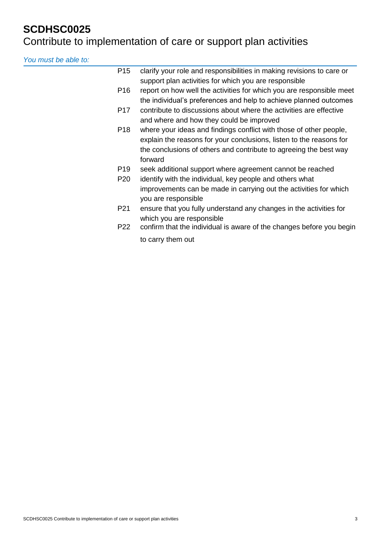## Contribute to implementation of care or support plan activities

*You must be able to:*

| P <sub>15</sub> | clarify your role and responsibilities in making revisions to care or<br>support plan activities for which you are responsible                                                                                            |
|-----------------|---------------------------------------------------------------------------------------------------------------------------------------------------------------------------------------------------------------------------|
| P <sub>16</sub> | report on how well the activities for which you are responsible meet<br>the individual's preferences and help to achieve planned outcomes                                                                                 |
| P <sub>17</sub> | contribute to discussions about where the activities are effective<br>and where and how they could be improved                                                                                                            |
| P <sub>18</sub> | where your ideas and findings conflict with those of other people,<br>explain the reasons for your conclusions, listen to the reasons for<br>the conclusions of others and contribute to agreeing the best way<br>forward |
| P <sub>19</sub> | seek additional support where agreement cannot be reached                                                                                                                                                                 |
| P <sub>20</sub> | identify with the individual, key people and others what<br>improvements can be made in carrying out the activities for which<br>you are responsible                                                                      |
| P <sub>21</sub> | ensure that you fully understand any changes in the activities for<br>which you are responsible                                                                                                                           |
| P <sub>22</sub> | confirm that the individual is aware of the changes before you begin                                                                                                                                                      |
|                 | to carry them out                                                                                                                                                                                                         |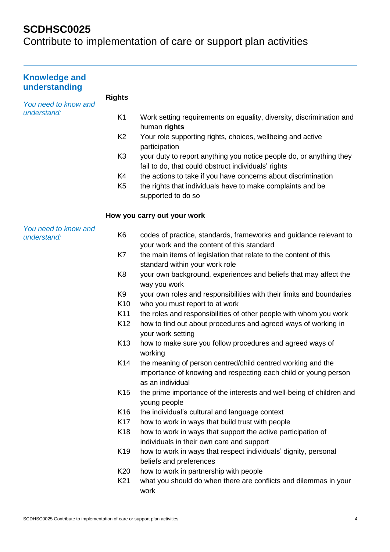| <b>Knowledge and</b><br>understanding |                 |                                                                                                                            |
|---------------------------------------|-----------------|----------------------------------------------------------------------------------------------------------------------------|
| You need to know and                  | <b>Rights</b>   |                                                                                                                            |
| understand:                           | K <sub>1</sub>  | Work setting requirements on equality, diversity, discrimination and<br>human rights                                       |
|                                       | K <sub>2</sub>  | Your role supporting rights, choices, wellbeing and active<br>participation                                                |
|                                       | K <sub>3</sub>  | your duty to report anything you notice people do, or anything they<br>fail to do, that could obstruct individuals' rights |
|                                       | K4              | the actions to take if you have concerns about discrimination                                                              |
|                                       | K <sub>5</sub>  | the rights that individuals have to make complaints and be<br>supported to do so                                           |
|                                       |                 | How you carry out your work                                                                                                |
| You need to know and<br>understand:   | K <sub>6</sub>  | codes of practice, standards, frameworks and guidance relevant to<br>your work and the content of this standard            |
|                                       | K7              | the main items of legislation that relate to the content of this<br>standard within your work role                         |
|                                       | K <sub>8</sub>  | your own background, experiences and beliefs that may affect the                                                           |
|                                       |                 | way you work                                                                                                               |
|                                       | K <sub>9</sub>  | your own roles and responsibilities with their limits and boundaries                                                       |
|                                       | K <sub>10</sub> | who you must report to at work                                                                                             |
|                                       | K11             | the roles and responsibilities of other people with whom you work                                                          |
|                                       | K <sub>12</sub> | how to find out about procedures and agreed ways of working in<br>your work setting                                        |
|                                       | K <sub>13</sub> | how to make sure you follow procedures and agreed ways of<br>working                                                       |
|                                       | K14             | the meaning of person centred/child centred working and the                                                                |
|                                       |                 | importance of knowing and respecting each child or young person<br>as an individual                                        |
|                                       | K <sub>15</sub> | the prime importance of the interests and well-being of children and<br>young people                                       |
|                                       | K16             | the individual's cultural and language context                                                                             |
|                                       | K <sub>17</sub> | how to work in ways that build trust with people                                                                           |
|                                       | K <sub>18</sub> | how to work in ways that support the active participation of                                                               |
|                                       |                 | individuals in their own care and support                                                                                  |
|                                       | K <sub>19</sub> | how to work in ways that respect individuals' dignity, personal                                                            |
|                                       |                 | beliefs and preferences                                                                                                    |
|                                       | K20             | how to work in partnership with people                                                                                     |
|                                       | K21             | what you should do when there are conflicts and dilemmas in your<br>work                                                   |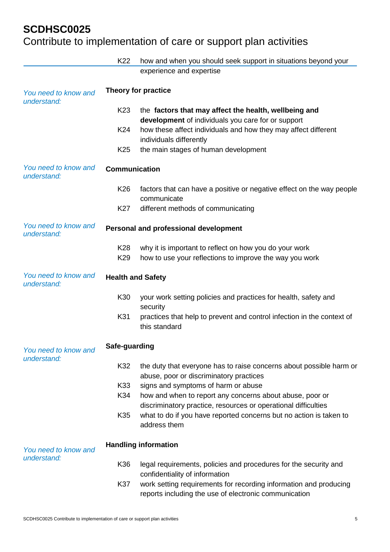|                                     | K <sub>22</sub>          | how and when you should seek support in situations beyond your                                                             |
|-------------------------------------|--------------------------|----------------------------------------------------------------------------------------------------------------------------|
|                                     |                          | experience and expertise                                                                                                   |
| You need to know and<br>understand: | Theory for practice      |                                                                                                                            |
|                                     | K <sub>23</sub>          | the factors that may affect the health, wellbeing and<br>development of individuals you care for or support                |
|                                     | K24                      | how these affect individuals and how they may affect different<br>individuals differently                                  |
|                                     | K <sub>25</sub>          | the main stages of human development                                                                                       |
| You need to know and<br>understand: | <b>Communication</b>     |                                                                                                                            |
|                                     | K <sub>26</sub>          | factors that can have a positive or negative effect on the way people<br>communicate                                       |
|                                     | K27                      | different methods of communicating                                                                                         |
| You need to know and<br>understand: |                          | Personal and professional development                                                                                      |
|                                     | K <sub>28</sub>          | why it is important to reflect on how you do your work                                                                     |
|                                     | K <sub>29</sub>          | how to use your reflections to improve the way you work                                                                    |
| You need to know and<br>understand: | <b>Health and Safety</b> |                                                                                                                            |
|                                     | K30                      | your work setting policies and practices for health, safety and<br>security                                                |
|                                     | K31                      | practices that help to prevent and control infection in the context of<br>this standard                                    |
| You need to know and<br>understand: | Safe-guarding            |                                                                                                                            |
|                                     | K32                      | the duty that everyone has to raise concerns about possible harm or<br>abuse, poor or discriminatory practices             |
|                                     | K33                      | signs and symptoms of harm or abuse                                                                                        |
|                                     | K34                      | how and when to report any concerns about abuse, poor or<br>discriminatory practice, resources or operational difficulties |
|                                     | K35                      | what to do if you have reported concerns but no action is taken to<br>address them                                         |
| You need to know and                |                          | <b>Handling information</b>                                                                                                |
| understand:                         | K36                      | legal requirements, policies and procedures for the security and<br>confidentiality of information                         |
|                                     | K37                      | work setting requirements for recording information and producing<br>reports including the use of electronic communication |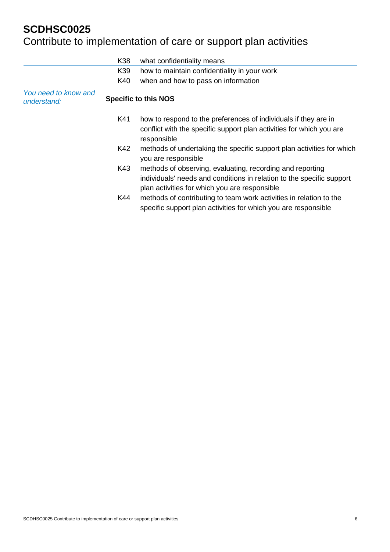|                                     | K38 | what confidentiality means                                                                                                                                                          |
|-------------------------------------|-----|-------------------------------------------------------------------------------------------------------------------------------------------------------------------------------------|
|                                     | K39 | how to maintain confidentiality in your work                                                                                                                                        |
|                                     | K40 | when and how to pass on information                                                                                                                                                 |
| You need to know and<br>understand: |     | <b>Specific to this NOS</b>                                                                                                                                                         |
|                                     | K41 | how to respond to the preferences of individuals if they are in<br>conflict with the specific support plan activities for which you are<br>responsible                              |
|                                     | K42 | methods of undertaking the specific support plan activities for which<br>you are responsible                                                                                        |
|                                     | K43 | methods of observing, evaluating, recording and reporting<br>individuals' needs and conditions in relation to the specific support<br>plan activities for which you are responsible |
|                                     | K44 | methods of contributing to team work activities in relation to the<br>specific support plan activities for which you are responsible                                                |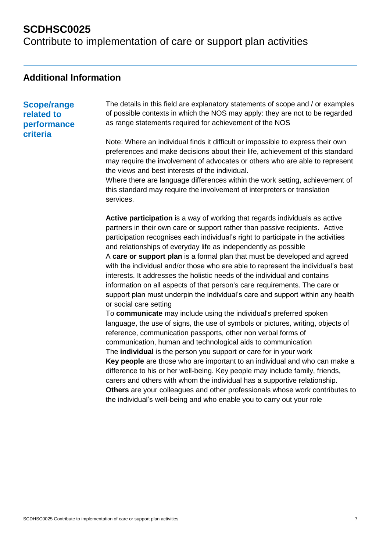Contribute to implementation of care or support plan activities

#### **Additional Information**

#### **Scope/range related to performance criteria**

The details in this field are explanatory statements of scope and / or examples of possible contexts in which the NOS may apply: they are not to be regarded as range statements required for achievement of the NOS

Note: Where an individual finds it difficult or impossible to express their own preferences and make decisions about their life, achievement of this standard may require the involvement of advocates or others who are able to represent the views and best interests of the individual.

Where there are language differences within the work setting, achievement of this standard may require the involvement of interpreters or translation services.

**Active participation** is a way of working that regards individuals as active partners in their own care or support rather than passive recipients. Active participation recognises each individual's right to participate in the activities and relationships of everyday life as independently as possible A **care or support plan** is a formal plan that must be developed and agreed with the individual and/or those who are able to represent the individual's best interests. It addresses the holistic needs of the individual and contains information on all aspects of that person's care requirements. The care or support plan must underpin the individual's care and support within any health or social care setting

To **communicate** may include using the individual's preferred spoken language, the use of signs, the use of symbols or pictures, writing, objects of reference, communication passports, other non verbal forms of communication, human and technological aids to communication The **individual** is the person you support or care for in your work **Key people** are those who are important to an individual and who can make a difference to his or her well-being. Key people may include family, friends, carers and others with whom the individual has a supportive relationship. **Others** are your colleagues and other professionals whose work contributes to the individual's well-being and who enable you to carry out your role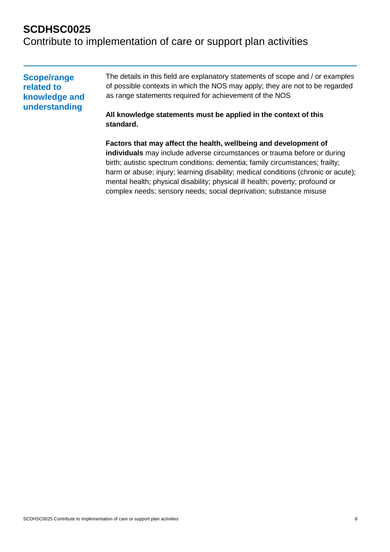Contribute to implementation of care or support plan activities

| <b>Scope/range</b> | The details in this field are explanatory statements of scope and / or examples |
|--------------------|---------------------------------------------------------------------------------|
| related to         | of possible contexts in which the NOS may apply; they are not to be regarded    |
| knowledge and      | as range statements required for achievement of the NOS                         |
| understanding      | All knowledge statements must be applied in the context of this<br>standard.    |

**Factors that may affect the health, wellbeing and development of individuals** may include adverse circumstances or trauma before or during birth; autistic spectrum conditions; dementia; family circumstances; frailty; harm or abuse; injury; learning disability; medical conditions (chronic or acute); mental health; physical disability; physical ill health; poverty; profound or complex needs; sensory needs; social deprivation; substance misuse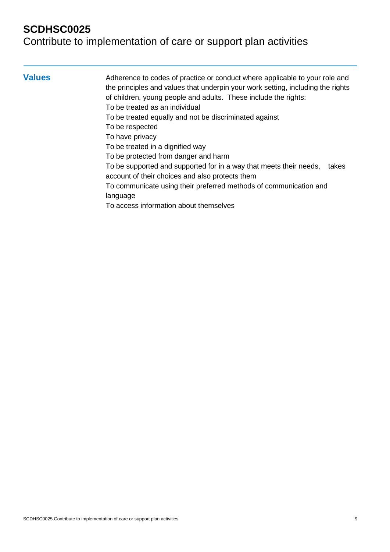#### Contribute to implementation of care or support plan activities

**Values** Adherence to codes of practice or conduct where applicable to your role and the principles and values that underpin your work setting, including the rights of children, young people and adults. These include the rights: To be treated as an individual To be treated equally and not be discriminated against To be respected To have privacy To be treated in a dignified way To be protected from danger and harm

> To be supported and supported for in a way that meets their needs, takes account of their choices and also protects them

To communicate using their preferred methods of communication and language

To access information about themselves